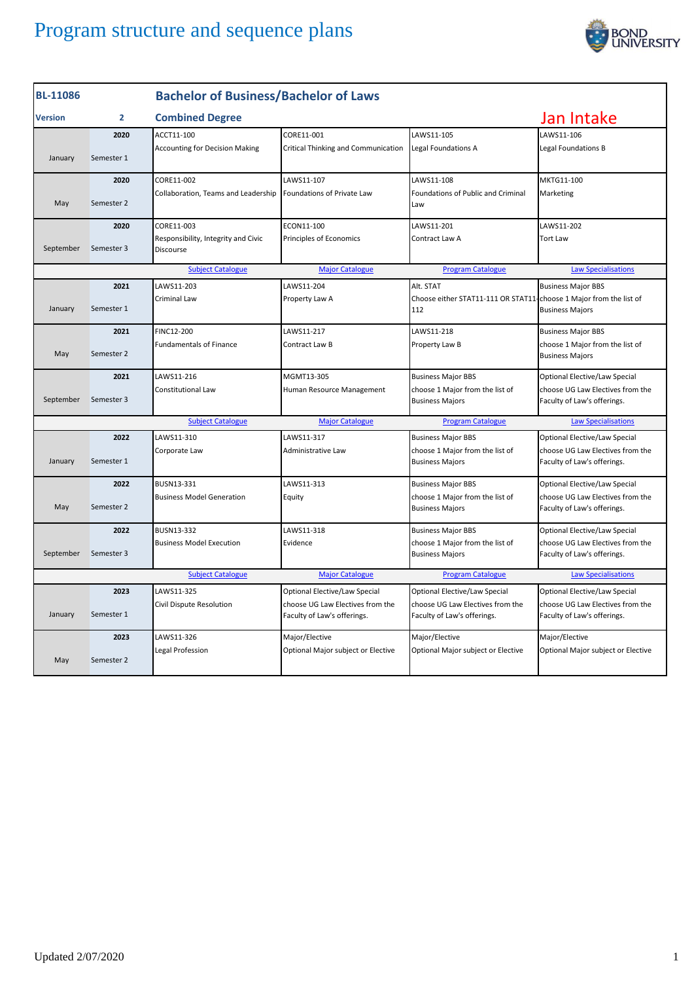

| <b>BL-11086</b>                                                                                              |                | <b>Bachelor of Business/Bachelor of Laws</b>     |                                                                 |                                                                 |                                                                 |
|--------------------------------------------------------------------------------------------------------------|----------------|--------------------------------------------------|-----------------------------------------------------------------|-----------------------------------------------------------------|-----------------------------------------------------------------|
| <b>Version</b>                                                                                               | $\overline{2}$ | <b>Combined Degree</b>                           |                                                                 |                                                                 | Jan Intake                                                      |
|                                                                                                              | 2020           | ACCT11-100                                       | CORE11-001                                                      | LAWS11-105                                                      | LAWS11-106                                                      |
| January                                                                                                      | Semester 1     | <b>Accounting for Decision Making</b>            | <b>Critical Thinking and Communication</b>                      | Legal Foundations A                                             | Legal Foundations B                                             |
|                                                                                                              | 2020           | CORE11-002                                       | LAWS11-107                                                      | LAWS11-108                                                      | MKTG11-100                                                      |
| May                                                                                                          | Semester 2     | Collaboration, Teams and Leadership              | <b>Foundations of Private Law</b>                               | Foundations of Public and Criminal<br>Law                       | Marketing                                                       |
|                                                                                                              | 2020           | CORE11-003                                       | ECON11-100                                                      | LAWS11-201                                                      | LAWS11-202                                                      |
| September                                                                                                    | Semester 3     | Responsibility, Integrity and Civic<br>Discourse | Principles of Economics                                         | Contract Law A                                                  | <b>Tort Law</b>                                                 |
|                                                                                                              |                | <b>Subject Catalogue</b>                         | <b>Major Catalogue</b>                                          | <b>Program Catalogue</b>                                        | <b>Law Specialisations</b>                                      |
|                                                                                                              | 2021           | LAWS11-203                                       | LAWS11-204                                                      | Alt. STAT                                                       | <b>Business Major BBS</b>                                       |
| January                                                                                                      | Semester 1     | Criminal Law                                     | Property Law A                                                  | Choose either STAT11-111 OR STAT11-<br>112                      | choose 1 Major from the list of<br><b>Business Majors</b>       |
|                                                                                                              | 2021           | FINC12-200                                       | LAWS11-217                                                      | LAWS11-218                                                      | <b>Business Major BBS</b>                                       |
| May                                                                                                          | Semester 2     | <b>Fundamentals of Finance</b>                   | Contract Law B                                                  | Property Law B                                                  | choose 1 Major from the list of<br><b>Business Majors</b>       |
|                                                                                                              | 2021           | LAWS11-216                                       | MGMT13-305                                                      | <b>Business Major BBS</b>                                       | Optional Elective/Law Special                                   |
| September                                                                                                    | Semester 3     | <b>Constitutional Law</b>                        | Human Resource Management                                       | choose 1 Major from the list of<br><b>Business Majors</b>       | choose UG Law Electives from the<br>Faculty of Law's offerings. |
|                                                                                                              |                | <b>Subject Catalogue</b>                         | <b>Major Catalogue</b>                                          | <b>Program Catalogue</b>                                        | <b>Law Specialisations</b>                                      |
|                                                                                                              | 2022           | LAWS11-310                                       | LAWS11-317                                                      | <b>Business Major BBS</b>                                       | Optional Elective/Law Special                                   |
| January                                                                                                      | Semester 1     | Corporate Law                                    | Administrative Law                                              | choose 1 Major from the list of<br><b>Business Majors</b>       | choose UG Law Electives from the<br>Faculty of Law's offerings. |
|                                                                                                              | 2022           | BUSN13-331                                       | LAWS11-313                                                      | <b>Business Major BBS</b>                                       | Optional Elective/Law Special                                   |
| May                                                                                                          | Semester 2     | <b>Business Model Generation</b>                 | Equity                                                          | choose 1 Major from the list of<br><b>Business Majors</b>       | choose UG Law Electives from the<br>Faculty of Law's offerings. |
|                                                                                                              | 2022           | BUSN13-332                                       | LAWS11-318                                                      | <b>Business Major BBS</b>                                       | Optional Elective/Law Special                                   |
| September                                                                                                    | Semester 3     | <b>Business Model Execution</b>                  | Evidence                                                        | choose 1 Major from the list of<br><b>Business Majors</b>       | choose UG Law Electives from the<br>Faculty of Law's offerings. |
| <b>Subject Catalogue</b><br><b>Major Catalogue</b><br><b>Program Catalogue</b><br><b>Law Specialisations</b> |                |                                                  |                                                                 |                                                                 |                                                                 |
|                                                                                                              | 2023           | LAWS11-325                                       | Optional Elective/Law Special                                   | Optional Elective/Law Special                                   | Optional Elective/Law Special                                   |
| January                                                                                                      | Semester 1     | Civil Dispute Resolution                         | choose UG Law Electives from the<br>Faculty of Law's offerings. | choose UG Law Electives from the<br>Faculty of Law's offerings. | choose UG Law Electives from the<br>Faculty of Law's offerings. |
|                                                                                                              | 2023           | LAWS11-326                                       | Major/Elective                                                  | Major/Elective                                                  | Major/Elective                                                  |
| May                                                                                                          | Semester 2     | Legal Profession                                 | Optional Major subject or Elective                              | Optional Major subject or Elective                              | Optional Major subject or Elective                              |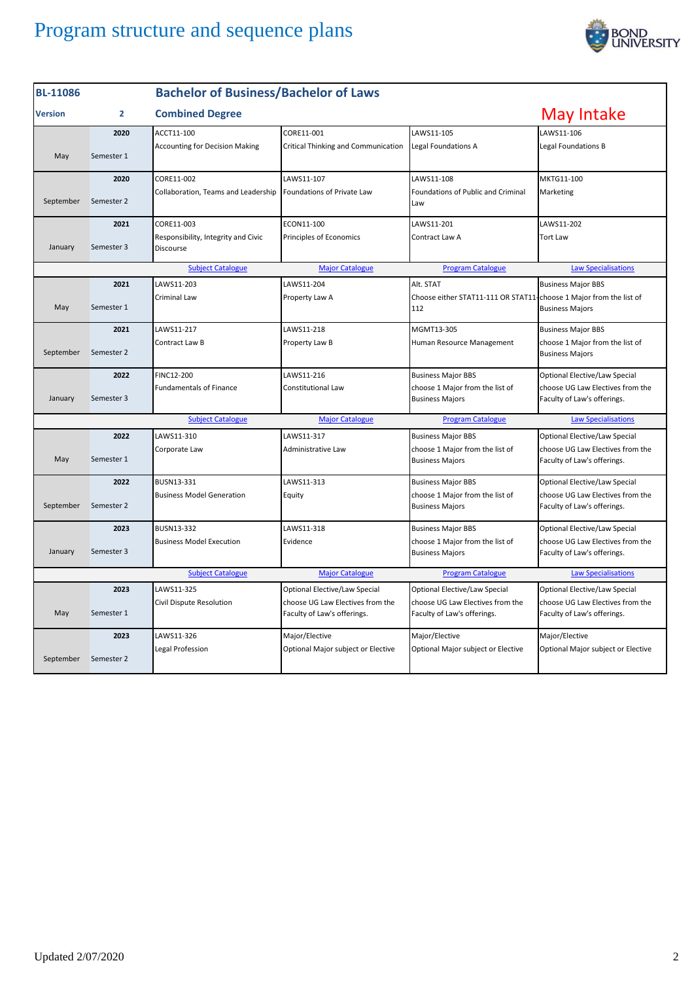

| <b>BL-11086</b>                                                                                              |                | <b>Bachelor of Business/Bachelor of Laws</b>     |                                                                 |                                                                           |                                                                 |
|--------------------------------------------------------------------------------------------------------------|----------------|--------------------------------------------------|-----------------------------------------------------------------|---------------------------------------------------------------------------|-----------------------------------------------------------------|
| <b>Version</b>                                                                                               | $\overline{2}$ | <b>Combined Degree</b>                           |                                                                 |                                                                           | May Intake                                                      |
|                                                                                                              | 2020           | ACCT11-100                                       | CORE11-001                                                      | LAWS11-105                                                                | LAWS11-106                                                      |
| May                                                                                                          | Semester 1     | <b>Accounting for Decision Making</b>            | Critical Thinking and Communication                             | Legal Foundations A                                                       | Legal Foundations B                                             |
|                                                                                                              | 2020           | CORE11-002                                       | LAWS11-107                                                      | LAWS11-108                                                                | MKTG11-100                                                      |
| September                                                                                                    | Semester 2     | Collaboration, Teams and Leadership              | Foundations of Private Law                                      | Foundations of Public and Criminal<br>Law                                 | Marketing                                                       |
|                                                                                                              | 2021           | CORE11-003                                       | ECON11-100                                                      | LAWS11-201                                                                | LAWS11-202                                                      |
| January                                                                                                      | Semester 3     | Responsibility, Integrity and Civic<br>Discourse | Principles of Economics                                         | Contract Law A                                                            | <b>Tort Law</b>                                                 |
|                                                                                                              |                | <b>Subject Catalogue</b>                         | <b>Major Catalogue</b>                                          | <b>Program Catalogue</b>                                                  | <b>Law Specialisations</b>                                      |
|                                                                                                              | 2021           | LAWS11-203                                       | LAWS11-204                                                      | Alt. STAT                                                                 | <b>Business Major BBS</b>                                       |
| May                                                                                                          | Semester 1     | <b>Criminal Law</b>                              | Property Law A                                                  | Choose either STAT11-111 OR STAT11-choose 1 Major from the list of<br>112 | <b>Business Majors</b>                                          |
|                                                                                                              | 2021           | LAWS11-217                                       | LAWS11-218                                                      | MGMT13-305                                                                | <b>Business Major BBS</b>                                       |
| September                                                                                                    | Semester 2     | Contract Law B                                   | Property Law B                                                  | Human Resource Management                                                 | choose 1 Major from the list of<br><b>Business Majors</b>       |
|                                                                                                              | 2022           | FINC12-200                                       | LAWS11-216                                                      | <b>Business Major BBS</b>                                                 | Optional Elective/Law Special                                   |
| January                                                                                                      | Semester 3     | <b>Fundamentals of Finance</b>                   | Constitutional Law                                              | choose 1 Major from the list of<br><b>Business Majors</b>                 | choose UG Law Electives from the<br>Faculty of Law's offerings. |
|                                                                                                              |                | <b>Subject Catalogue</b>                         | <b>Major Catalogue</b>                                          | <b>Program Catalogue</b>                                                  | <b>Law Specialisations</b>                                      |
|                                                                                                              | 2022           | LAWS11-310                                       | LAWS11-317                                                      | <b>Business Major BBS</b>                                                 | Optional Elective/Law Special                                   |
| May                                                                                                          | Semester 1     | Corporate Law                                    | Administrative Law                                              | choose 1 Major from the list of<br><b>Business Majors</b>                 | choose UG Law Electives from the<br>Faculty of Law's offerings. |
|                                                                                                              | 2022           | BUSN13-331                                       | LAWS11-313                                                      | <b>Business Major BBS</b>                                                 | Optional Elective/Law Special                                   |
| September                                                                                                    | Semester 2     | <b>Business Model Generation</b>                 | Equity                                                          | choose 1 Major from the list of<br><b>Business Majors</b>                 | choose UG Law Electives from the<br>Faculty of Law's offerings. |
|                                                                                                              | 2023           | BUSN13-332                                       | LAWS11-318                                                      | <b>Business Major BBS</b>                                                 | Optional Elective/Law Special                                   |
| January                                                                                                      | Semester 3     | <b>Business Model Execution</b>                  | Evidence                                                        | choose 1 Major from the list of<br><b>Business Majors</b>                 | choose UG Law Electives from the<br>Faculty of Law's offerings. |
| <b>Subject Catalogue</b><br><b>Major Catalogue</b><br><b>Program Catalogue</b><br><b>Law Specialisations</b> |                |                                                  |                                                                 |                                                                           |                                                                 |
|                                                                                                              | 2023           | LAWS11-325                                       | Optional Elective/Law Special                                   | Optional Elective/Law Special                                             | Optional Elective/Law Special                                   |
| May                                                                                                          | Semester 1     | Civil Dispute Resolution                         | choose UG Law Electives from the<br>Faculty of Law's offerings. | choose UG Law Electives from the<br>Faculty of Law's offerings.           | choose UG Law Electives from the<br>Faculty of Law's offerings. |
|                                                                                                              | 2023           | LAWS11-326                                       | Major/Elective                                                  | Major/Elective                                                            | Major/Elective                                                  |
| September                                                                                                    | Semester 2     | Legal Profession                                 | Optional Major subject or Elective                              | Optional Major subject or Elective                                        | Optional Major subject or Elective                              |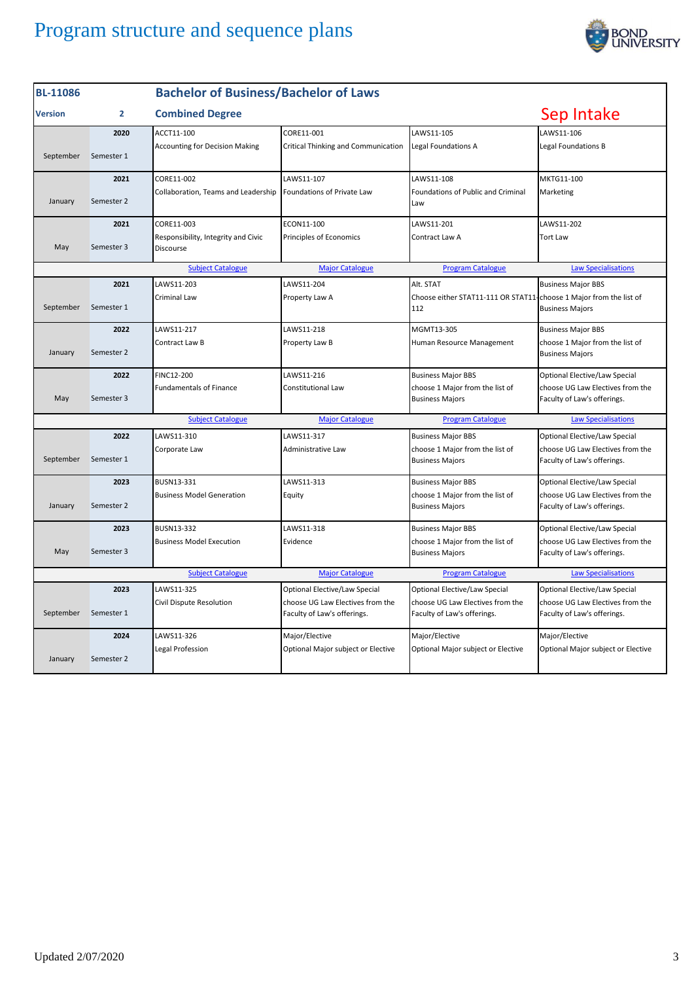

| <b>BL-11086</b>                                                                                              |              | <b>Bachelor of Business/Bachelor of Laws</b>     |                                                                 |                                                                           |                                                                 |
|--------------------------------------------------------------------------------------------------------------|--------------|--------------------------------------------------|-----------------------------------------------------------------|---------------------------------------------------------------------------|-----------------------------------------------------------------|
| <b>Version</b>                                                                                               | $\mathbf{2}$ | <b>Combined Degree</b>                           |                                                                 |                                                                           | Sep Intake                                                      |
|                                                                                                              | 2020         | ACCT11-100                                       | CORE11-001                                                      | LAWS11-105                                                                | LAWS11-106                                                      |
| September                                                                                                    | Semester 1   | <b>Accounting for Decision Making</b>            | Critical Thinking and Communication                             | Legal Foundations A                                                       | Legal Foundations B                                             |
|                                                                                                              | 2021         | CORE11-002                                       | LAWS11-107                                                      | LAWS11-108                                                                | MKTG11-100                                                      |
| January                                                                                                      | Semester 2   | Collaboration, Teams and Leadership              | Foundations of Private Law                                      | Foundations of Public and Criminal<br>Law                                 | Marketing                                                       |
|                                                                                                              | 2021         | CORE11-003                                       | ECON11-100                                                      | LAWS11-201                                                                | LAWS11-202                                                      |
| May                                                                                                          | Semester 3   | Responsibility, Integrity and Civic<br>Discourse | Principles of Economics                                         | Contract Law A                                                            | Tort Law                                                        |
|                                                                                                              |              | <b>Subject Catalogue</b>                         | <b>Major Catalogue</b>                                          | <b>Program Catalogue</b>                                                  | <b>Law Specialisations</b>                                      |
|                                                                                                              | 2021         | LAWS11-203                                       | LAWS11-204                                                      | Alt. STAT                                                                 | <b>Business Major BBS</b>                                       |
| September                                                                                                    | Semester 1   | Criminal Law                                     | Property Law A                                                  | Choose either STAT11-111 OR STAT11-choose 1 Major from the list of<br>112 | <b>Business Majors</b>                                          |
|                                                                                                              | 2022         | LAWS11-217                                       | LAWS11-218                                                      | MGMT13-305                                                                | <b>Business Major BBS</b>                                       |
| January                                                                                                      | Semester 2   | Contract Law B                                   | Property Law B                                                  | Human Resource Management                                                 | choose 1 Major from the list of<br><b>Business Majors</b>       |
|                                                                                                              | 2022         | FINC12-200                                       | LAWS11-216                                                      | <b>Business Major BBS</b>                                                 | Optional Elective/Law Special                                   |
| May                                                                                                          | Semester 3   | <b>Fundamentals of Finance</b>                   | Constitutional Law                                              | choose 1 Major from the list of<br><b>Business Majors</b>                 | choose UG Law Electives from the<br>Faculty of Law's offerings. |
|                                                                                                              |              | <b>Subject Catalogue</b>                         | <b>Major Catalogue</b>                                          | <b>Program Catalogue</b>                                                  | <b>Law Specialisations</b>                                      |
|                                                                                                              | 2022         | LAWS11-310                                       | LAWS11-317                                                      | <b>Business Major BBS</b>                                                 | Optional Elective/Law Special                                   |
| September                                                                                                    | Semester 1   | Corporate Law                                    | Administrative Law                                              | choose 1 Major from the list of<br><b>Business Majors</b>                 | choose UG Law Electives from the<br>Faculty of Law's offerings. |
|                                                                                                              | 2023         | BUSN13-331                                       | LAWS11-313                                                      | <b>Business Major BBS</b>                                                 | Optional Elective/Law Special                                   |
| January                                                                                                      | Semester 2   | <b>Business Model Generation</b>                 | Equity                                                          | choose 1 Major from the list of<br><b>Business Majors</b>                 | choose UG Law Electives from the<br>Faculty of Law's offerings. |
|                                                                                                              | 2023         | <b>BUSN13-332</b>                                | LAWS11-318                                                      | <b>Business Major BBS</b>                                                 | Optional Elective/Law Special                                   |
| May                                                                                                          | Semester 3   | <b>Business Model Execution</b>                  | Evidence                                                        | choose 1 Major from the list of<br><b>Business Majors</b>                 | choose UG Law Electives from the<br>Faculty of Law's offerings. |
| <b>Subject Catalogue</b><br><b>Major Catalogue</b><br><b>Program Catalogue</b><br><b>Law Specialisations</b> |              |                                                  |                                                                 |                                                                           |                                                                 |
|                                                                                                              | 2023         | LAWS11-325                                       | Optional Elective/Law Special                                   | Optional Elective/Law Special                                             | Optional Elective/Law Special                                   |
| September                                                                                                    | Semester 1   | Civil Dispute Resolution                         | choose UG Law Electives from the<br>Faculty of Law's offerings. | choose UG Law Electives from the<br>Faculty of Law's offerings.           | choose UG Law Electives from the<br>Faculty of Law's offerings. |
|                                                                                                              | 2024         | LAWS11-326                                       | Major/Elective                                                  | Major/Elective                                                            | Major/Elective                                                  |
| January                                                                                                      | Semester 2   | Legal Profession                                 | Optional Major subject or Elective                              | Optional Major subject or Elective                                        | Optional Major subject or Elective                              |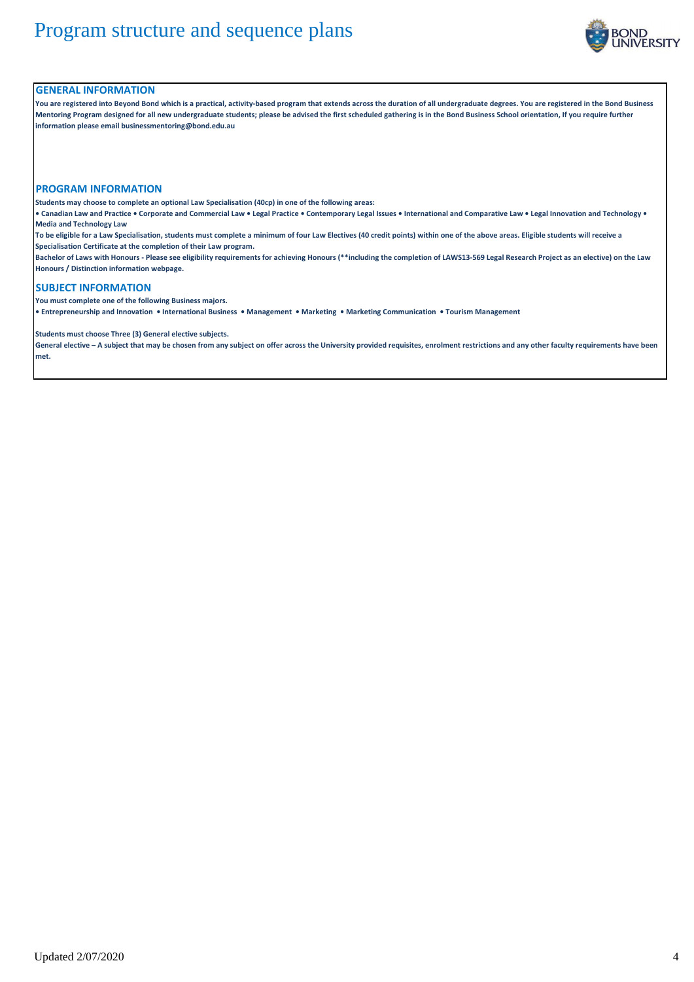

#### **GENERAL INFORMATION**

**You are registered into Beyond Bond which is a practical, activity-based program that extends across the duration of all undergraduate degrees. You are registered in the Bond Business Mentoring Program designed for all new undergraduate students; please be advised the first scheduled gathering is in the Bond Business School orientation, If you require further information please email businessmentoring@bond.edu.au**

#### **PROGRAM INFORMATION**

**Students may choose to complete an optional Law Specialisation (40cp) in one of the following areas:**

**• Canadian Law and Practice • Corporate and Commercial Law • Legal Practice • Contemporary Legal Issues • International and Comparative Law • Legal Innovation and Technology • Media and Technology Law**

**To be eligible for a Law Specialisation, students must complete a minimum of four Law Electives (40 credit points) within one of the above areas. Eligible students will receive a Specialisation Certificate at the completion of their Law program.**

**Bachelor of Laws with Honours - Please see eligibility requirements for achieving Honours (\*\*including the completion of LAWS13-569 Legal Research Project as an elective) on the Law Honours / Distinction information webpage.**

### **SUBJECT INFORMATION**

**You must complete one of the following Business majors.** 

**• Entrepreneurship and Innovation • International Business • Management • Marketing • Marketing Communication • Tourism Management**

**Students must choose Three (3) General elective subjects.**

**General elective – A subject that may be chosen from any subject on offer across the University provided requisites, enrolment restrictions and any other faculty requirements have been met.**